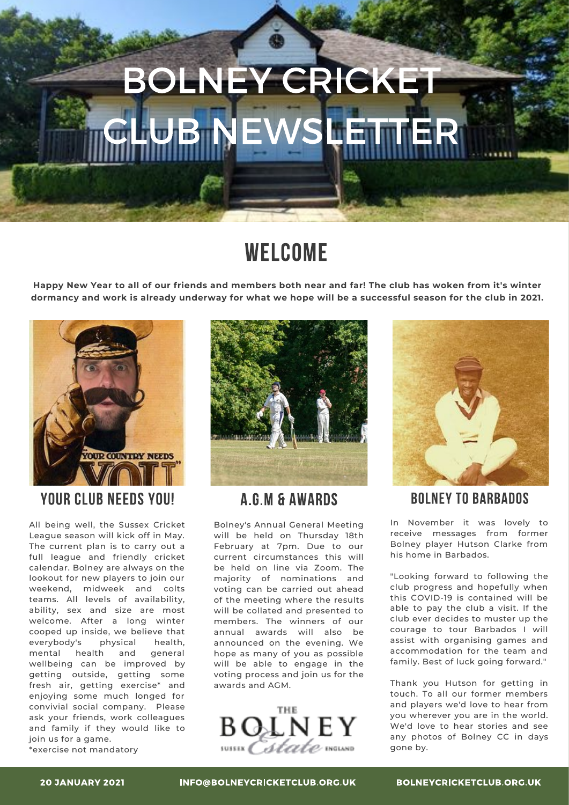# **BOLNEY CRICKET** WS **BNE** 圖奇

## WELCOME

Happy New Year to all of our friends and members both near and far! The club has woken from it's winter dormancy and work is already underway for what we hope will be a successful season for the club in 2021.



## **YOUR CLUB NEEDS YOU!**

All being well, the Sussex Cricket League season will kick off in May. The current plan is to carry out a full league and friendly cricket calendar. Bolney are always on the lookout for new players to join our weekend, midweek and colts teams. All levels of availability, ability, sex and size are most welcome. After a long winter cooped up inside, we believe that everybody's physical health, mental health and general wellbeing can be improved by getting outside, getting some fresh air, getting exercise\* and enjoying some much longed for convivial social company. Please ask your friends, work colleagues and family if they would like to join us for a game.



## **A.G.M & AWARDS**

Bolney's Annual General Meeting will be held on Thursday 18th February at 7pm. Due to our current circumstances this will be held on line via Zoom. The majority of nominations and voting can be carried out ahead of the meeting where the results will be collated and presented to members. The winners of our annual awards will also be announced on the evening. We hope as many of you as possible will be able to engage in the voting process and join us for the awards and AGM.





## **BOLNEY TO BARBADOS**

In November it was lovely to receive messages from former Bolney player Hutson Clarke from his home in Barbados.

"Looking forward to following the club progress and hopefully when this COVID-19 is contained will be able to pay the club a visit. If the club ever decides to muster up the courage to tour Barbados I will assist with organising games and accommodation for the team and family. Best of luck going forward."

Thank you Hutson for getting in touch. To all our former members and players we'd love to hear from you wherever you are in the world. We'd love to hear stories and see any photos of Bolney CC in days gone by.

\*exercise not mandatory

INFO@BOLNEYCRICKETCLUB.ORG.UK